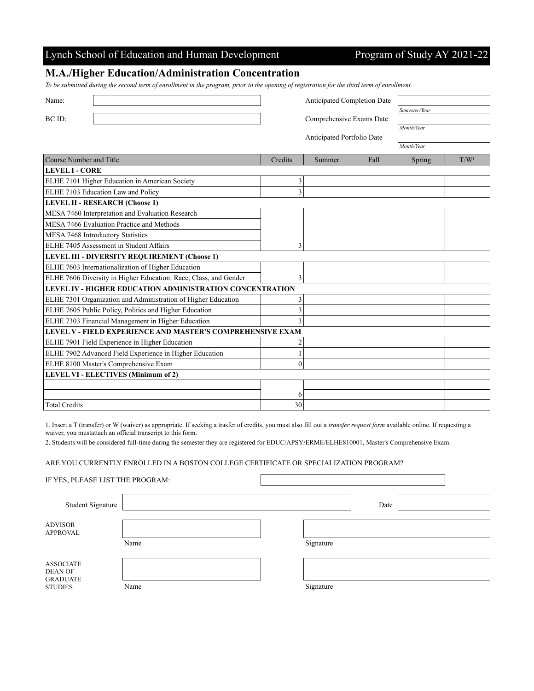## Lynch School of Education and Human Development Program of Study AY 2021-22

### **M.A./Higher Education/Administration Concentration**

*To be submitted during the second term of enrollment in the program, prior to the opening of registration for the third term of enrollment.*

| Name:                                                            |                          | Anticipated Completion Date |      |               |                  |  |  |  |
|------------------------------------------------------------------|--------------------------|-----------------------------|------|---------------|------------------|--|--|--|
|                                                                  |                          |                             |      | Semester/Year |                  |  |  |  |
| BC ID:                                                           | Comprehensive Exams Date |                             |      |               |                  |  |  |  |
|                                                                  |                          |                             |      | Month/Year    |                  |  |  |  |
|                                                                  |                          | Anticipated Portfolio Date  |      |               |                  |  |  |  |
|                                                                  |                          |                             |      | Month/Year    |                  |  |  |  |
| Course Number and Title                                          | Credits                  | Summer                      | Fall | Spring        | T/W <sup>1</sup> |  |  |  |
| <b>LEVEL I - CORE</b>                                            |                          |                             |      |               |                  |  |  |  |
| ELHE 7101 Higher Education in American Society                   | 3                        |                             |      |               |                  |  |  |  |
| ELHE 7103 Education Law and Policy                               |                          |                             |      |               |                  |  |  |  |
| <b>LEVEL II - RESEARCH (Choose 1)</b>                            |                          |                             |      |               |                  |  |  |  |
| MESA 7460 Interpretation and Evaluation Research                 |                          |                             |      |               |                  |  |  |  |
| MESA 7466 Evaluation Practice and Methods                        |                          |                             |      |               |                  |  |  |  |
| MESA 7468 Introductory Statistics                                |                          |                             |      |               |                  |  |  |  |
| ELHE 7405 Assessment in Student Affairs                          | 3                        |                             |      |               |                  |  |  |  |
| LEVEL III - DIVERSITY REQUIREMENT (Choose 1)                     |                          |                             |      |               |                  |  |  |  |
| ELHE 7603 Internationalization of Higher Education               |                          |                             |      |               |                  |  |  |  |
| ELHE 7606 Diversity in Higher Education: Race, Class, and Gender | 3                        |                             |      |               |                  |  |  |  |
| LEVEL IV - HIGHER EDUCATION ADMINISTRATION CONCENTRATION         |                          |                             |      |               |                  |  |  |  |
| ELHE 7301 Organization and Administration of Higher Education    | 3                        |                             |      |               |                  |  |  |  |
| ELHE 7605 Public Policy, Politics and Higher Education           | 3                        |                             |      |               |                  |  |  |  |
| ELHE 7303 Financial Management in Higher Education               | 3                        |                             |      |               |                  |  |  |  |
| LEVEL V - FIELD EXPERIENCE AND MASTER'S COMPREHENSIVE EXAM       |                          |                             |      |               |                  |  |  |  |
| ELHE 7901 Field Experience in Higher Education                   | 2                        |                             |      |               |                  |  |  |  |
| ELHE 7902 Advanced Field Experience in Higher Education          |                          |                             |      |               |                  |  |  |  |
| ELHE 8100 Master's Comprehensive Exam                            | $\theta$                 |                             |      |               |                  |  |  |  |
| <b>LEVEL VI - ELECTIVES (Minimum of 2)</b>                       |                          |                             |      |               |                  |  |  |  |
|                                                                  |                          |                             |      |               |                  |  |  |  |
|                                                                  | 6                        |                             |      |               |                  |  |  |  |
| <b>Total Credits</b>                                             | 30                       |                             |      |               |                  |  |  |  |

1. Insert a T (transfer) or W (waiver) as appropriate. If seeking a trasfer of credits, you must also fill out a *transfer request form* available online. If requesting a waiver, you mustattach an official transcript to this form.

2. Students will be considered full-time during the semester they are registered for EDUC/APSY/ERME/ELHE810001, Master's Comprehensive Exam.

#### ARE YOU CURRENTLY ENROLLED IN A BOSTON COLLEGE CERTIFICATE OR SPECIALIZATION PROGRAM?

|  | IF YES, PLEASE LIST THE PROGRAM: |
|--|----------------------------------|
|--|----------------------------------|

| Student Signature                                     |      |           | Date |  |
|-------------------------------------------------------|------|-----------|------|--|
|                                                       |      |           |      |  |
| <b>ADVISOR</b><br><b>APPROVAL</b>                     |      |           |      |  |
|                                                       | Name | Signature |      |  |
|                                                       |      |           |      |  |
| <b>ASSOCIATE</b><br><b>DEAN OF</b><br><b>GRADUATE</b> |      |           |      |  |
| <b>STUDIES</b>                                        | Name | Signature |      |  |